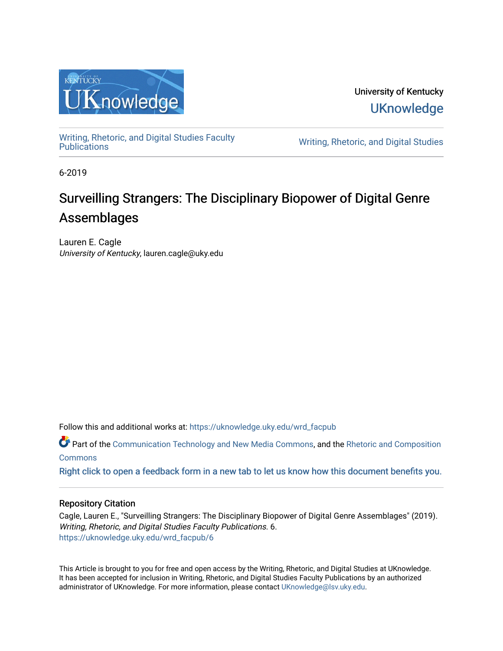

University of Kentucky **UKnowledge** 

[Writing, Rhetoric, and Digital Studies Faculty](https://uknowledge.uky.edu/wrd_facpub) 

Writing, Rhetoric, and Digital Studies

6-2019

# Surveilling Strangers: The Disciplinary Biopower of Digital Genre Assemblages

Lauren E. Cagle University of Kentucky, lauren.cagle@uky.edu

Follow this and additional works at: [https://uknowledge.uky.edu/wrd\\_facpub](https://uknowledge.uky.edu/wrd_facpub?utm_source=uknowledge.uky.edu%2Fwrd_facpub%2F6&utm_medium=PDF&utm_campaign=PDFCoverPages)

Part of the [Communication Technology and New Media Commons,](http://network.bepress.com/hgg/discipline/327?utm_source=uknowledge.uky.edu%2Fwrd_facpub%2F6&utm_medium=PDF&utm_campaign=PDFCoverPages) and the [Rhetoric and Composition](http://network.bepress.com/hgg/discipline/573?utm_source=uknowledge.uky.edu%2Fwrd_facpub%2F6&utm_medium=PDF&utm_campaign=PDFCoverPages)  **[Commons](http://network.bepress.com/hgg/discipline/573?utm_source=uknowledge.uky.edu%2Fwrd_facpub%2F6&utm_medium=PDF&utm_campaign=PDFCoverPages)** 

[Right click to open a feedback form in a new tab to let us know how this document benefits you.](https://uky.az1.qualtrics.com/jfe/form/SV_9mq8fx2GnONRfz7)

## Repository Citation

Cagle, Lauren E., "Surveilling Strangers: The Disciplinary Biopower of Digital Genre Assemblages" (2019). Writing, Rhetoric, and Digital Studies Faculty Publications. 6. [https://uknowledge.uky.edu/wrd\\_facpub/6](https://uknowledge.uky.edu/wrd_facpub/6?utm_source=uknowledge.uky.edu%2Fwrd_facpub%2F6&utm_medium=PDF&utm_campaign=PDFCoverPages)

This Article is brought to you for free and open access by the Writing, Rhetoric, and Digital Studies at UKnowledge. It has been accepted for inclusion in Writing, Rhetoric, and Digital Studies Faculty Publications by an authorized administrator of UKnowledge. For more information, please contact [UKnowledge@lsv.uky.edu](mailto:UKnowledge@lsv.uky.edu).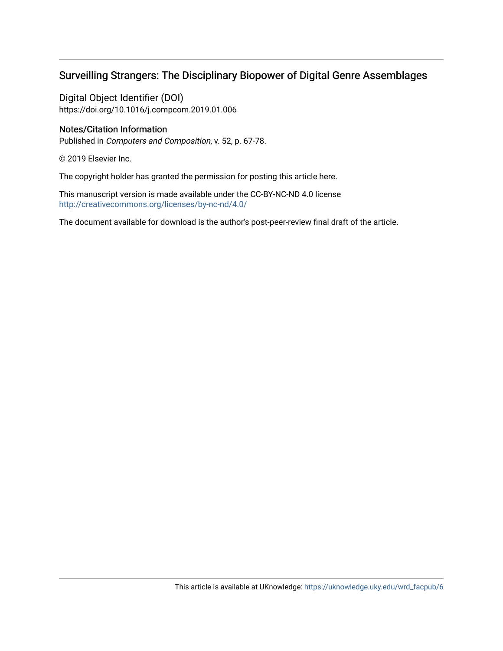# Surveilling Strangers: The Disciplinary Biopower of Digital Genre Assemblages

Digital Object Identifier (DOI) https://doi.org/10.1016/j.compcom.2019.01.006

# Notes/Citation Information

Published in Computers and Composition, v. 52, p. 67-78.

© 2019 Elsevier Inc.

The copyright holder has granted the permission for posting this article here.

This manuscript version is made available under the CC-BY-NC-ND 4.0 license <http://creativecommons.org/licenses/by-nc-nd/4.0/>

The document available for download is the author's post-peer-review final draft of the article.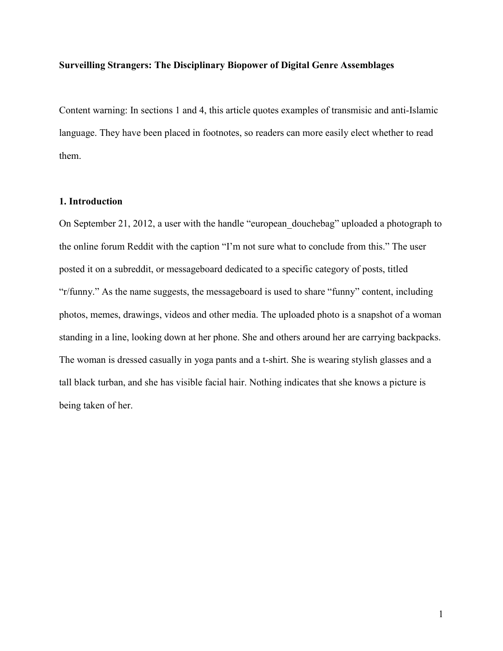#### **Surveilling Strangers: The Disciplinary Biopower of Digital Genre Assemblages**

Content warning: In sections 1 and 4, this article quotes examples of transmisic and anti-Islamic language. They have been placed in footnotes, so readers can more easily elect whether to read them.

## **1. Introduction**

On September 21, 2012, a user with the handle "european\_douchebag" uploaded a photograph to the online forum Reddit with the caption "I'm not sure what to conclude from this." The user posted it on a subreddit, or messageboard dedicated to a specific category of posts, titled "r/funny." As the name suggests, the messageboard is used to share "funny" content, including photos, memes, drawings, videos and other media. The uploaded photo is a snapshot of a woman standing in a line, looking down at her phone. She and others around her are carrying backpacks. The woman is dressed casually in yoga pants and a t-shirt. She is wearing stylish glasses and a tall black turban, and she has visible facial hair. Nothing indicates that she knows a picture is being taken of her.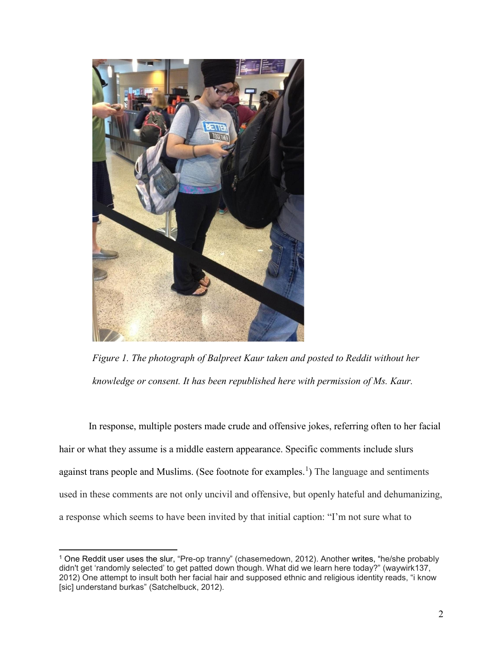

*Figure 1. The photograph of Balpreet Kaur taken and posted to Reddit without her knowledge or consent. It has been republished here with permission of Ms. Kaur.*

In response, multiple posters made crude and offensive jokes, referring often to her facial hair or what they assume is a middle eastern appearance. Specific comments include slurs against trans people and Muslims. (See footnote for examples.<sup>[1](#page-3-0)</sup>) The language and sentiments used in these comments are not only uncivil and offensive, but openly hateful and dehumanizing, a response which seems to have been invited by that initial caption: "I'm not sure what to

<span id="page-3-0"></span> <sup>1</sup> One Reddit user uses the slur, "Pre-op tranny" (chasemedown, 2012). Another writes, "he/she probably didn't get 'randomly selected' to get patted down though. What did we learn here today?" (waywirk137, 2012) One attempt to insult both her facial hair and supposed ethnic and religious identity reads, "i know [sic] understand burkas" (Satchelbuck, 2012).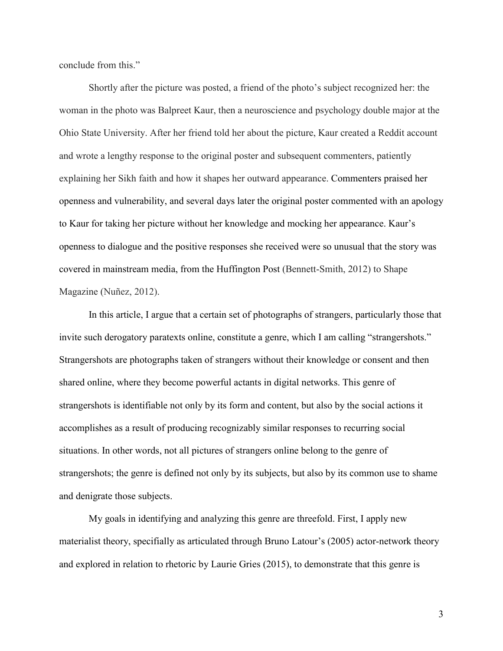conclude from this."

Shortly after the picture was posted, a friend of the photo's subject recognized her: the woman in the photo was Balpreet Kaur, then a neuroscience and psychology double major at the Ohio State University. After her friend told her about the picture, Kaur created a Reddit account and wrote a lengthy response to the original poster and subsequent commenters, patiently explaining her Sikh faith and how it shapes her outward appearance. Commenters praised her openness and vulnerability, and several days later the original poster commented with an apology to Kaur for taking her picture without her knowledge and mocking her appearance. Kaur's openness to dialogue and the positive responses she received were so unusual that the story was covered in mainstream media, from the Huffington Post (Bennett-Smith, 2012) to Shape Magazine (Nuñez, 2012).

In this article, I argue that a certain set of photographs of strangers, particularly those that invite such derogatory paratexts online, constitute a genre, which I am calling "strangershots." Strangershots are photographs taken of strangers without their knowledge or consent and then shared online, where they become powerful actants in digital networks. This genre of strangershots is identifiable not only by its form and content, but also by the social actions it accomplishes as a result of producing recognizably similar responses to recurring social situations. In other words, not all pictures of strangers online belong to the genre of strangershots; the genre is defined not only by its subjects, but also by its common use to shame and denigrate those subjects.

My goals in identifying and analyzing this genre are threefold. First, I apply new materialist theory, specifially as articulated through Bruno Latour's (2005) actor-network theory and explored in relation to rhetoric by Laurie Gries (2015), to demonstrate that this genre is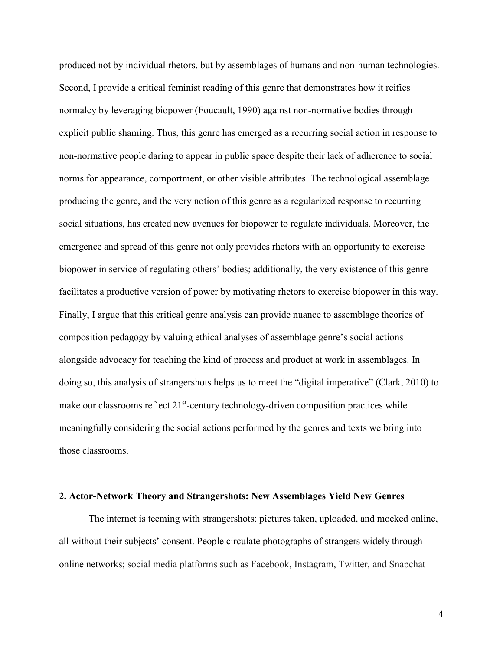produced not by individual rhetors, but by assemblages of humans and non-human technologies. Second, I provide a critical feminist reading of this genre that demonstrates how it reifies normalcy by leveraging biopower (Foucault, 1990) against non-normative bodies through explicit public shaming. Thus, this genre has emerged as a recurring social action in response to non-normative people daring to appear in public space despite their lack of adherence to social norms for appearance, comportment, or other visible attributes. The technological assemblage producing the genre, and the very notion of this genre as a regularized response to recurring social situations, has created new avenues for biopower to regulate individuals. Moreover, the emergence and spread of this genre not only provides rhetors with an opportunity to exercise biopower in service of regulating others' bodies; additionally, the very existence of this genre facilitates a productive version of power by motivating rhetors to exercise biopower in this way. Finally, I argue that this critical genre analysis can provide nuance to assemblage theories of composition pedagogy by valuing ethical analyses of assemblage genre's social actions alongside advocacy for teaching the kind of process and product at work in assemblages. In doing so, this analysis of strangershots helps us to meet the "digital imperative" (Clark, 2010) to make our classrooms reflect  $21<sup>st</sup>$ -century technology-driven composition practices while meaningfully considering the social actions performed by the genres and texts we bring into those classrooms.

#### **2. Actor-Network Theory and Strangershots: New Assemblages Yield New Genres**

The internet is teeming with strangershots: pictures taken, uploaded, and mocked online, all without their subjects' consent. People circulate photographs of strangers widely through online networks; social media platforms such as Facebook, Instagram, Twitter, and Snapchat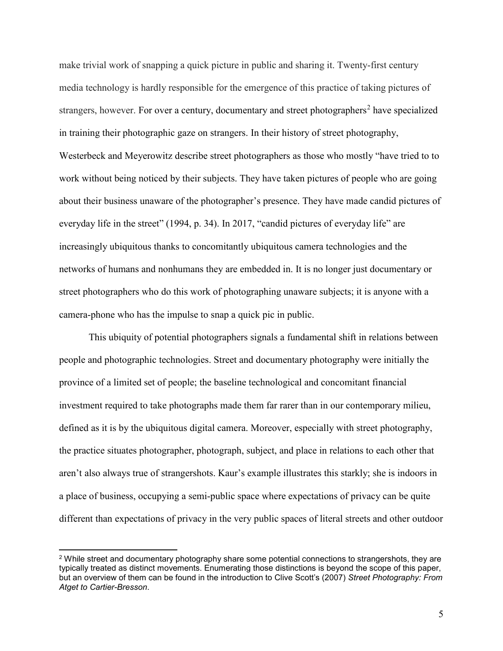make trivial work of snapping a quick picture in public and sharing it. Twenty-first century media technology is hardly responsible for the emergence of this practice of taking pictures of strangers, however. For over a century, documentary and street photographers<sup>[2](#page-6-0)</sup> have specialized in training their photographic gaze on strangers. In their history of street photography, Westerbeck and Meyerowitz describe street photographers as those who mostly "have tried to to work without being noticed by their subjects. They have taken pictures of people who are going about their business unaware of the photographer's presence. They have made candid pictures of everyday life in the street" (1994, p. 34). In 2017, "candid pictures of everyday life" are increasingly ubiquitous thanks to concomitantly ubiquitous camera technologies and the networks of humans and nonhumans they are embedded in. It is no longer just documentary or street photographers who do this work of photographing unaware subjects; it is anyone with a camera-phone who has the impulse to snap a quick pic in public.

This ubiquity of potential photographers signals a fundamental shift in relations between people and photographic technologies. Street and documentary photography were initially the province of a limited set of people; the baseline technological and concomitant financial investment required to take photographs made them far rarer than in our contemporary milieu, defined as it is by the ubiquitous digital camera. Moreover, especially with street photography, the practice situates photographer, photograph, subject, and place in relations to each other that aren't also always true of strangershots. Kaur's example illustrates this starkly; she is indoors in a place of business, occupying a semi-public space where expectations of privacy can be quite different than expectations of privacy in the very public spaces of literal streets and other outdoor

<span id="page-6-0"></span> <sup>2</sup> While street and documentary photography share some potential connections to strangershots, they are typically treated as distinct movements. Enumerating those distinctions is beyond the scope of this paper, but an overview of them can be found in the introduction to Clive Scott's (2007) *Street Photography: From Atget to Cartier-Bresson*.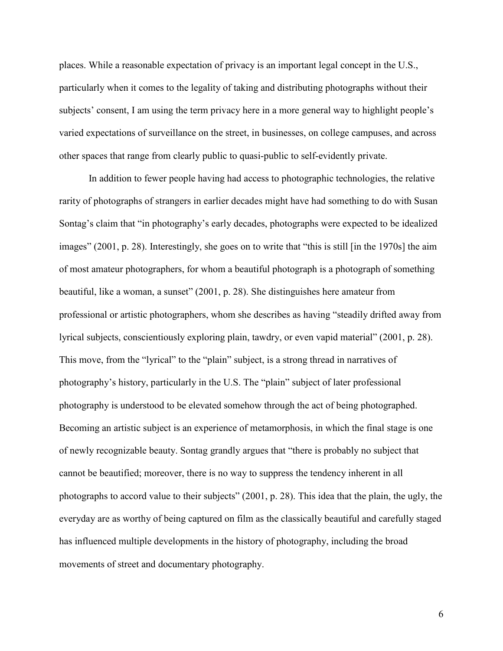places. While a reasonable expectation of privacy is an important legal concept in the U.S., particularly when it comes to the legality of taking and distributing photographs without their subjects' consent, I am using the term privacy here in a more general way to highlight people's varied expectations of surveillance on the street, in businesses, on college campuses, and across other spaces that range from clearly public to quasi-public to self-evidently private.

In addition to fewer people having had access to photographic technologies, the relative rarity of photographs of strangers in earlier decades might have had something to do with Susan Sontag's claim that "in photography's early decades, photographs were expected to be idealized images" (2001, p. 28). Interestingly, she goes on to write that "this is still [in the 1970s] the aim of most amateur photographers, for whom a beautiful photograph is a photograph of something beautiful, like a woman, a sunset" (2001, p. 28). She distinguishes here amateur from professional or artistic photographers, whom she describes as having "steadily drifted away from lyrical subjects, conscientiously exploring plain, tawdry, or even vapid material" (2001, p. 28). This move, from the "lyrical" to the "plain" subject, is a strong thread in narratives of photography's history, particularly in the U.S. The "plain" subject of later professional photography is understood to be elevated somehow through the act of being photographed. Becoming an artistic subject is an experience of metamorphosis, in which the final stage is one of newly recognizable beauty. Sontag grandly argues that "there is probably no subject that cannot be beautified; moreover, there is no way to suppress the tendency inherent in all photographs to accord value to their subjects" (2001, p. 28). This idea that the plain, the ugly, the everyday are as worthy of being captured on film as the classically beautiful and carefully staged has influenced multiple developments in the history of photography, including the broad movements of street and documentary photography.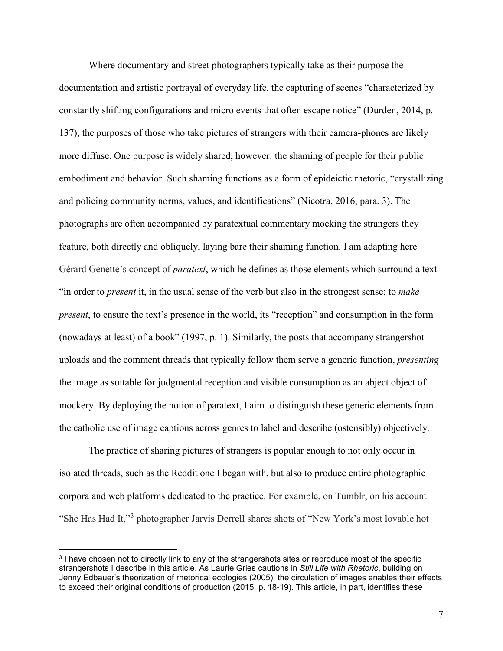Where documentary and street photographers typically take as their purpose the documentation and artistic portrayal of everyday life, the capturing of scenes "characterized by constantly shifting configurations and micro events that often escape notice" (Durden, 2014, p. 137), the purposes of those who take pictures of strangers with their camera-phones are likely more diffuse. One purpose is widely shared, however: the shaming of people for their public embodiment and behavior. Such shaming functions as a form of epideictic rhetoric, "crystallizing and policing community norms, values, and identifications" (Nicotra, 2016, para. 3). The photographs are often accompanied by paratextual commentary mocking the strangers they feature, both directly and obliquely, laying bare their shaming function. I am adapting here Gérard Genette's concept of *paratext*, which he defines as those elements which surround a text "in order to *present* it, in the usual sense of the verb but also in the strongest sense: to *make present*, to ensure the text's presence in the world, its "reception" and consumption in the form (nowadays at least) of a book" (1997, p. 1). Similarly, the posts that accompany strangershot uploads and the comment threads that typically follow them serve a generic function, *presenting* the image as suitable for judgmental reception and visible consumption as an abject object of mockery. By deploying the notion of paratext, I aim to distinguish these generic elements from the catholic use of image captions across genres to label and describe (ostensibly) objectively.

The practice of sharing pictures of strangers is popular enough to not only occur in isolated threads, such as the Reddit one I began with, but also to produce entire photographic corpora and web platforms dedicated to the practice. For example, on Tumblr, on his account "She Has Had It,"[3](#page-8-0) photographer Jarvis Derrell shares shots of "New York's most lovable hot

<span id="page-8-0"></span> <sup>3</sup> I have chosen not to directly link to any of the strangershots sites or reproduce most of the specific strangershots I describe in this article. As Laurie Gries cautions in *Still Life with Rhetoric*, building on Jenny Edbauer's theorization of rhetorical ecologies (2005), the circulation of images enables their effects to exceed their original conditions of production (2015, p. 18-19). This article, in part, identifies these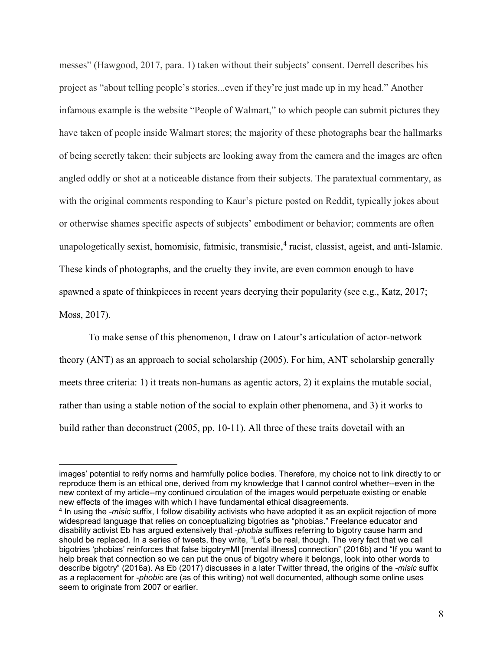messes" (Hawgood, 2017, para. 1) taken without their subjects' consent. Derrell describes his project as "about telling people's stories...even if they're just made up in my head." Another infamous example is the website "People of Walmart," to which people can submit pictures they have taken of people inside Walmart stores; the majority of these photographs bear the hallmarks of being secretly taken: their subjects are looking away from the camera and the images are often angled oddly or shot at a noticeable distance from their subjects. The paratextual commentary, as with the original comments responding to Kaur's picture posted on Reddit, typically jokes about or otherwise shames specific aspects of subjects' embodiment or behavior; comments are often unapologetically sexist, homomisic, fatmisic, transmisic,<sup>[4](#page-9-0)</sup> racist, classist, ageist, and anti-Islamic. These kinds of photographs, and the cruelty they invite, are even common enough to have spawned a spate of thinkpieces in recent years decrying their popularity (see e.g., Katz, 2017; Moss, 2017).

To make sense of this phenomenon, I draw on Latour's articulation of actor-network theory (ANT) as an approach to social scholarship (2005). For him, ANT scholarship generally meets three criteria: 1) it treats non-humans as agentic actors, 2) it explains the mutable social, rather than using a stable notion of the social to explain other phenomena, and 3) it works to build rather than deconstruct (2005, pp. 10-11). All three of these traits dovetail with an

 $\overline{a}$ 

images' potential to reify norms and harmfully police bodies. Therefore, my choice not to link directly to or reproduce them is an ethical one, derived from my knowledge that I cannot control whether--even in the new context of my article--my continued circulation of the images would perpetuate existing or enable new effects of the images with which I have fundamental ethical disagreements.

<span id="page-9-0"></span><sup>4</sup> In using the *-misic* suffix, I follow disability activists who have adopted it as an explicit rejection of more widespread language that relies on conceptualizing bigotries as "phobias." Freelance educator and disability activist Eb has argued extensively that *-phobia* suffixes referring to bigotry cause harm and should be replaced. In a series of tweets, they write, "Let's be real, though. The very fact that we call bigotries 'phobias' reinforces that false bigotry=MI [mental illness] connection" (2016b) and "If you want to help break that connection so we can put the onus of bigotry where it belongs, look into other words to describe bigotry" (2016a). As Eb (2017) discusses in a later Twitter thread, the origins of the *-misic* suffix as a replacement for *-phobic* are (as of this writing) not well documented, although some online uses seem to originate from 2007 or earlier.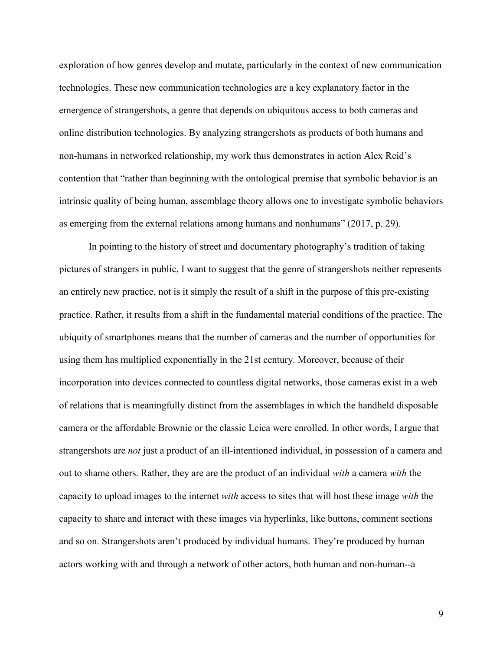exploration of how genres develop and mutate, particularly in the context of new communication technologies. These new communication technologies are a key explanatory factor in the emergence of strangershots, a genre that depends on ubiquitous access to both cameras and online distribution technologies. By analyzing strangershots as products of both humans and non-humans in networked relationship, my work thus demonstrates in action Alex Reid's contention that "rather than beginning with the ontological premise that symbolic behavior is an intrinsic quality of being human, assemblage theory allows one to investigate symbolic behaviors as emerging from the external relations among humans and nonhumans" (2017, p. 29).

In pointing to the history of street and documentary photography's tradition of taking pictures of strangers in public, I want to suggest that the genre of strangershots neither represents an entirely new practice, not is it simply the result of a shift in the purpose of this pre-existing practice. Rather, it results from a shift in the fundamental material conditions of the practice. The ubiquity of smartphones means that the number of cameras and the number of opportunities for using them has multiplied exponentially in the 21st century. Moreover, because of their incorporation into devices connected to countless digital networks, those cameras exist in a web of relations that is meaningfully distinct from the assemblages in which the handheld disposable camera or the affordable Brownie or the classic Leica were enrolled. In other words, I argue that strangershots are *not* just a product of an ill-intentioned individual, in possession of a camera and out to shame others. Rather, they are are the product of an individual *with* a camera *with* the capacity to upload images to the internet *with* access to sites that will host these image *with* the capacity to share and interact with these images via hyperlinks, like buttons, comment sections and so on. Strangershots aren't produced by individual humans. They're produced by human actors working with and through a network of other actors, both human and non-human--a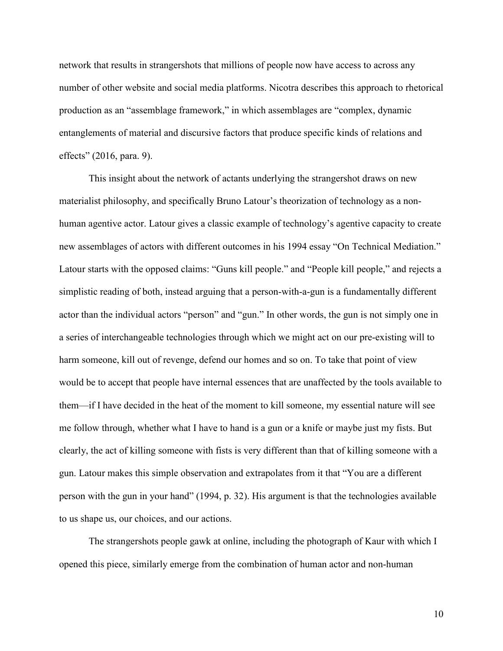network that results in strangershots that millions of people now have access to across any number of other website and social media platforms. Nicotra describes this approach to rhetorical production as an "assemblage framework," in which assemblages are "complex, dynamic entanglements of material and discursive factors that produce specific kinds of relations and effects" (2016, para. 9).

This insight about the network of actants underlying the strangershot draws on new materialist philosophy, and specifically Bruno Latour's theorization of technology as a nonhuman agentive actor. Latour gives a classic example of technology's agentive capacity to create new assemblages of actors with different outcomes in his 1994 essay "On Technical Mediation." Latour starts with the opposed claims: "Guns kill people." and "People kill people," and rejects a simplistic reading of both, instead arguing that a person-with-a-gun is a fundamentally different actor than the individual actors "person" and "gun." In other words, the gun is not simply one in a series of interchangeable technologies through which we might act on our pre-existing will to harm someone, kill out of revenge, defend our homes and so on. To take that point of view would be to accept that people have internal essences that are unaffected by the tools available to them—if I have decided in the heat of the moment to kill someone, my essential nature will see me follow through, whether what I have to hand is a gun or a knife or maybe just my fists. But clearly, the act of killing someone with fists is very different than that of killing someone with a gun. Latour makes this simple observation and extrapolates from it that "You are a different person with the gun in your hand" (1994, p. 32). His argument is that the technologies available to us shape us, our choices, and our actions.

The strangershots people gawk at online, including the photograph of Kaur with which I opened this piece, similarly emerge from the combination of human actor and non-human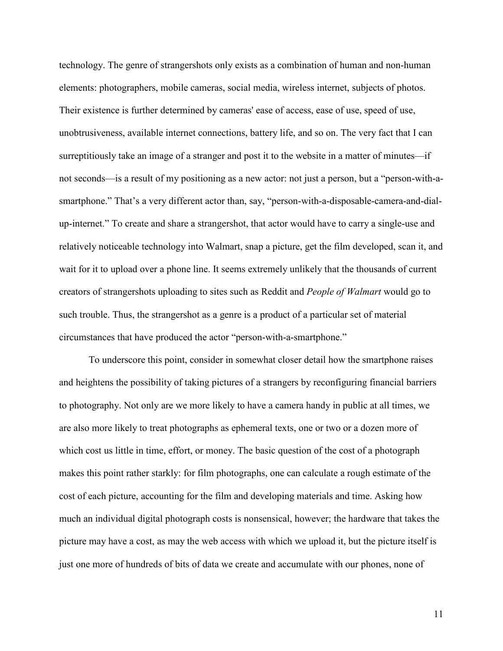technology. The genre of strangershots only exists as a combination of human and non-human elements: photographers, mobile cameras, social media, wireless internet, subjects of photos. Their existence is further determined by cameras' ease of access, ease of use, speed of use, unobtrusiveness, available internet connections, battery life, and so on. The very fact that I can surreptitiously take an image of a stranger and post it to the website in a matter of minutes—if not seconds—is a result of my positioning as a new actor: not just a person, but a "person-with-asmartphone." That's a very different actor than, say, "person-with-a-disposable-camera-and-dialup-internet." To create and share a strangershot, that actor would have to carry a single-use and relatively noticeable technology into Walmart, snap a picture, get the film developed, scan it, and wait for it to upload over a phone line. It seems extremely unlikely that the thousands of current creators of strangershots uploading to sites such as Reddit and *People of Walmart* would go to such trouble. Thus, the strangershot as a genre is a product of a particular set of material circumstances that have produced the actor "person-with-a-smartphone."

To underscore this point, consider in somewhat closer detail how the smartphone raises and heightens the possibility of taking pictures of a strangers by reconfiguring financial barriers to photography. Not only are we more likely to have a camera handy in public at all times, we are also more likely to treat photographs as ephemeral texts, one or two or a dozen more of which cost us little in time, effort, or money. The basic question of the cost of a photograph makes this point rather starkly: for film photographs, one can calculate a rough estimate of the cost of each picture, accounting for the film and developing materials and time. Asking how much an individual digital photograph costs is nonsensical, however; the hardware that takes the picture may have a cost, as may the web access with which we upload it, but the picture itself is just one more of hundreds of bits of data we create and accumulate with our phones, none of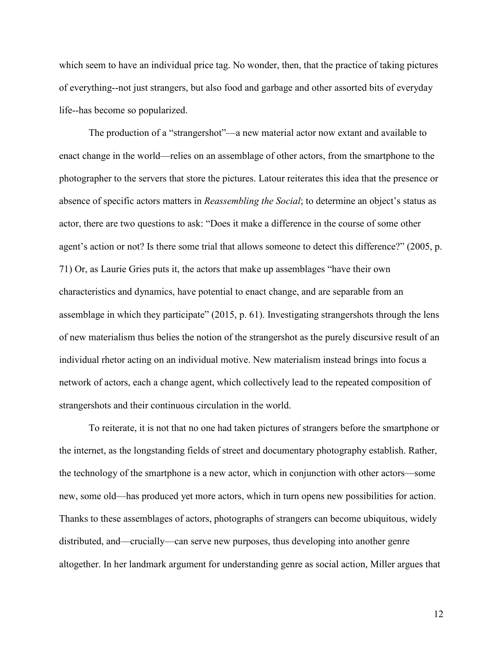which seem to have an individual price tag. No wonder, then, that the practice of taking pictures of everything--not just strangers, but also food and garbage and other assorted bits of everyday life--has become so popularized.

The production of a "strangershot"—a new material actor now extant and available to enact change in the world—relies on an assemblage of other actors, from the smartphone to the photographer to the servers that store the pictures. Latour reiterates this idea that the presence or absence of specific actors matters in *Reassembling the Social*; to determine an object's status as actor, there are two questions to ask: "Does it make a difference in the course of some other agent's action or not? Is there some trial that allows someone to detect this difference?" (2005, p. 71) Or, as Laurie Gries puts it, the actors that make up assemblages "have their own characteristics and dynamics, have potential to enact change, and are separable from an assemblage in which they participate" (2015, p. 61). Investigating strangershots through the lens of new materialism thus belies the notion of the strangershot as the purely discursive result of an individual rhetor acting on an individual motive. New materialism instead brings into focus a network of actors, each a change agent, which collectively lead to the repeated composition of strangershots and their continuous circulation in the world.

To reiterate, it is not that no one had taken pictures of strangers before the smartphone or the internet, as the longstanding fields of street and documentary photography establish. Rather, the technology of the smartphone is a new actor, which in conjunction with other actors—some new, some old—has produced yet more actors, which in turn opens new possibilities for action. Thanks to these assemblages of actors, photographs of strangers can become ubiquitous, widely distributed, and—crucially—can serve new purposes, thus developing into another genre altogether. In her landmark argument for understanding genre as social action, Miller argues that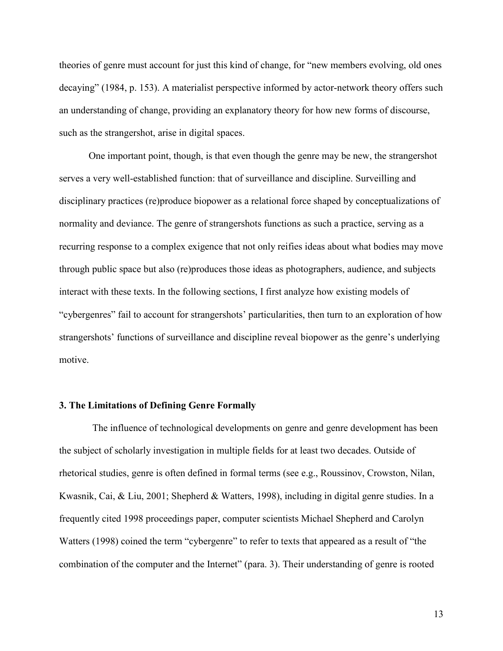theories of genre must account for just this kind of change, for "new members evolving, old ones decaying" (1984, p. 153). A materialist perspective informed by actor-network theory offers such an understanding of change, providing an explanatory theory for how new forms of discourse, such as the strangershot, arise in digital spaces.

One important point, though, is that even though the genre may be new, the strangershot serves a very well-established function: that of surveillance and discipline. Surveilling and disciplinary practices (re)produce biopower as a relational force shaped by conceptualizations of normality and deviance. The genre of strangershots functions as such a practice, serving as a recurring response to a complex exigence that not only reifies ideas about what bodies may move through public space but also (re)produces those ideas as photographers, audience, and subjects interact with these texts. In the following sections, I first analyze how existing models of "cybergenres" fail to account for strangershots' particularities, then turn to an exploration of how strangershots' functions of surveillance and discipline reveal biopower as the genre's underlying motive.

#### **3. The Limitations of Defining Genre Formally**

The influence of technological developments on genre and genre development has been the subject of scholarly investigation in multiple fields for at least two decades. Outside of rhetorical studies, genre is often defined in formal terms (see e.g., Roussinov, Crowston, Nilan, Kwasnik, Cai, & Liu, 2001; Shepherd & Watters, 1998), including in digital genre studies. In a frequently cited 1998 proceedings paper, computer scientists Michael Shepherd and Carolyn Watters (1998) coined the term "cybergenre" to refer to texts that appeared as a result of "the combination of the computer and the Internet" (para. 3). Their understanding of genre is rooted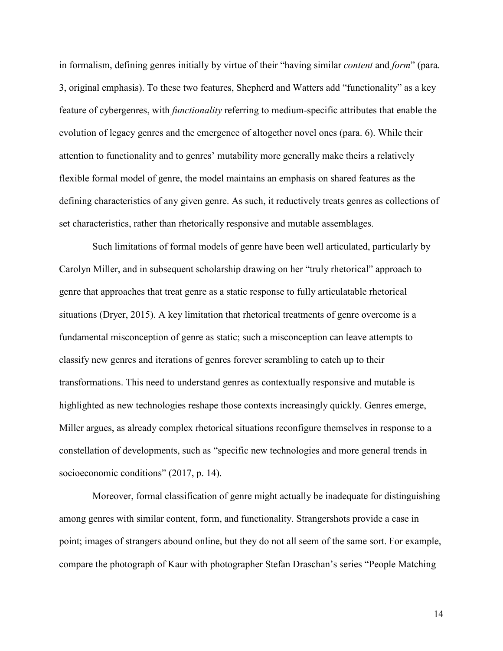in formalism, defining genres initially by virtue of their "having similar *content* and *form*" (para. 3, original emphasis). To these two features, Shepherd and Watters add "functionality" as a key feature of cybergenres, with *functionality* referring to medium-specific attributes that enable the evolution of legacy genres and the emergence of altogether novel ones (para. 6). While their attention to functionality and to genres' mutability more generally make theirs a relatively flexible formal model of genre, the model maintains an emphasis on shared features as the defining characteristics of any given genre. As such, it reductively treats genres as collections of set characteristics, rather than rhetorically responsive and mutable assemblages.

Such limitations of formal models of genre have been well articulated, particularly by Carolyn Miller, and in subsequent scholarship drawing on her "truly rhetorical" approach to genre that approaches that treat genre as a static response to fully articulatable rhetorical situations (Dryer, 2015). A key limitation that rhetorical treatments of genre overcome is a fundamental misconception of genre as static; such a misconception can leave attempts to classify new genres and iterations of genres forever scrambling to catch up to their transformations. This need to understand genres as contextually responsive and mutable is highlighted as new technologies reshape those contexts increasingly quickly. Genres emerge, Miller argues, as already complex rhetorical situations reconfigure themselves in response to a constellation of developments, such as "specific new technologies and more general trends in socioeconomic conditions" (2017, p. 14).

Moreover, formal classification of genre might actually be inadequate for distinguishing among genres with similar content, form, and functionality. Strangershots provide a case in point; images of strangers abound online, but they do not all seem of the same sort. For example, compare the photograph of Kaur with photographer Stefan Draschan's series "People Matching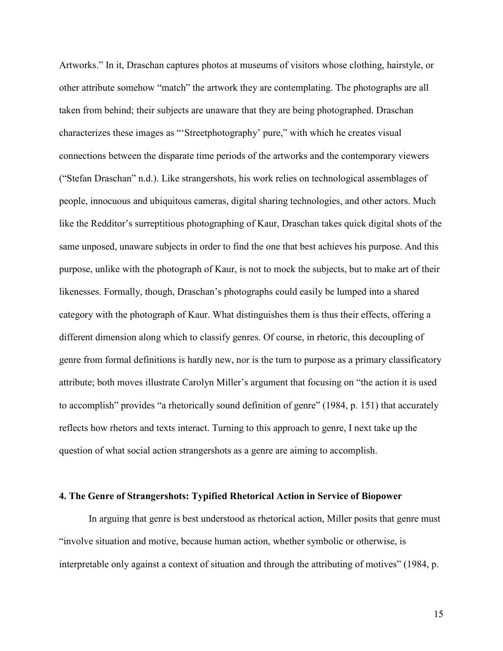Artworks." In it, Draschan captures photos at museums of visitors whose clothing, hairstyle, or other attribute somehow "match" the artwork they are contemplating. The photographs are all taken from behind; their subjects are unaware that they are being photographed. Draschan characterizes these images as "'Streetphotography' pure," with which he creates visual connections between the disparate time periods of the artworks and the contemporary viewers ("Stefan Draschan" n.d.). Like strangershots, his work relies on technological assemblages of people, innocuous and ubiquitous cameras, digital sharing technologies, and other actors. Much like the Redditor's surreptitious photographing of Kaur, Draschan takes quick digital shots of the same unposed, unaware subjects in order to find the one that best achieves his purpose. And this purpose, unlike with the photograph of Kaur, is not to mock the subjects, but to make art of their likenesses. Formally, though, Draschan's photographs could easily be lumped into a shared category with the photograph of Kaur. What distinguishes them is thus their effects, offering a different dimension along which to classify genres. Of course, in rhetoric, this decoupling of genre from formal definitions is hardly new, nor is the turn to purpose as a primary classificatory attribute; both moves illustrate Carolyn Miller's argument that focusing on "the action it is used to accomplish" provides "a rhetorically sound definition of genre" (1984, p. 151) that accurately reflects how rhetors and texts interact. Turning to this approach to genre, I next take up the question of what social action strangershots as a genre are aiming to accomplish.

#### **4. The Genre of Strangershots: Typified Rhetorical Action in Service of Biopower**

In arguing that genre is best understood as rhetorical action, Miller posits that genre must "involve situation and motive, because human action, whether symbolic or otherwise, is interpretable only against a context of situation and through the attributing of motives" (1984, p.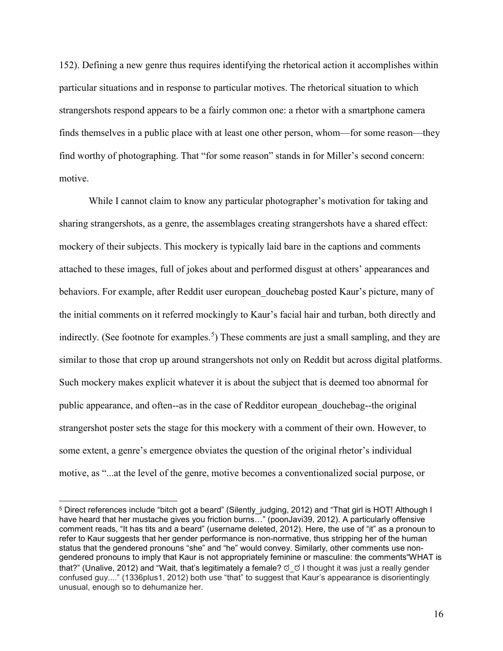152). Defining a new genre thus requires identifying the rhetorical action it accomplishes within particular situations and in response to particular motives. The rhetorical situation to which strangershots respond appears to be a fairly common one: a rhetor with a smartphone camera finds themselves in a public place with at least one other person, whom—for some reason—they find worthy of photographing. That "for some reason" stands in for Miller's second concern: motive.

While I cannot claim to know any particular photographer's motivation for taking and sharing strangershots, as a genre, the assemblages creating strangershots have a shared effect: mockery of their subjects. This mockery is typically laid bare in the captions and comments attached to these images, full of jokes about and performed disgust at others' appearances and behaviors. For example, after Reddit user european\_douchebag posted Kaur's picture, many of the initial comments on it referred mockingly to Kaur's facial hair and turban, both directly and indirectly. (See footnote for examples.<sup>[5](#page-17-0)</sup>) These comments are just a small sampling, and they are similar to those that crop up around strangershots not only on Reddit but across digital platforms. Such mockery makes explicit whatever it is about the subject that is deemed too abnormal for public appearance, and often--as in the case of Redditor european\_douchebag--the original strangershot poster sets the stage for this mockery with a comment of their own. However, to some extent, a genre's emergence obviates the question of the original rhetor's individual motive, as "...at the level of the genre, motive becomes a conventionalized social purpose, or

<span id="page-17-0"></span><sup>&</sup>lt;sup>5</sup> Direct references include "bitch got a beard" (Silently judging, 2012) and "That girl is HOT! Although I have heard that her mustache gives you friction burns…" (poonJavi39, 2012). A particularly offensive comment reads, "It has tits and a beard" (username deleted, 2012). Here, the use of "it" as a pronoun to refer to Kaur suggests that her gender performance is non-normative, thus stripping her of the human status that the gendered pronouns "she" and "he" would convey. Similarly, other comments use nongendered pronouns to imply that Kaur is not appropriately feminine or masculine: the comments"WHAT is that?" (Unalive, 2012) and "Wait, that's legitimately a female?  $\vec{\circ}$   $\vec{\circ}$  I thought it was just a really gender confused guy...." (1336plus1, 2012) both use "that" to suggest that Kaur's appearance is disorientingly unusual, enough so to dehumanize her.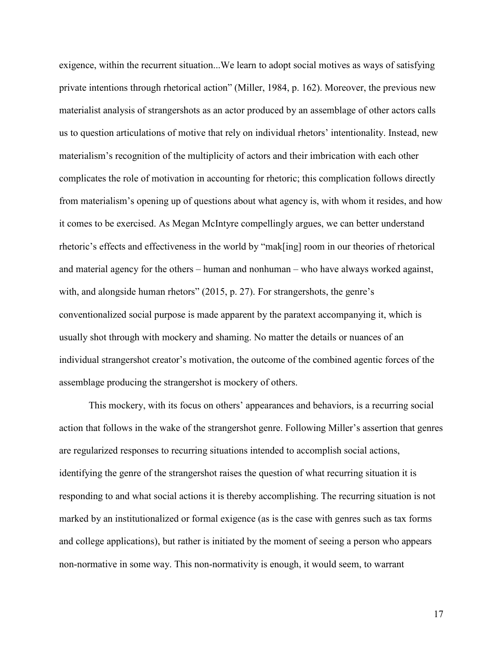exigence, within the recurrent situation...We learn to adopt social motives as ways of satisfying private intentions through rhetorical action" (Miller, 1984, p. 162). Moreover, the previous new materialist analysis of strangershots as an actor produced by an assemblage of other actors calls us to question articulations of motive that rely on individual rhetors' intentionality. Instead, new materialism's recognition of the multiplicity of actors and their imbrication with each other complicates the role of motivation in accounting for rhetoric; this complication follows directly from materialism's opening up of questions about what agency is, with whom it resides, and how it comes to be exercised. As Megan McIntyre compellingly argues, we can better understand rhetoric's effects and effectiveness in the world by "mak[ing] room in our theories of rhetorical and material agency for the others – human and nonhuman – who have always worked against, with, and alongside human rhetors" (2015, p. 27). For strangershots, the genre's conventionalized social purpose is made apparent by the paratext accompanying it, which is usually shot through with mockery and shaming. No matter the details or nuances of an individual strangershot creator's motivation, the outcome of the combined agentic forces of the assemblage producing the strangershot is mockery of others.

This mockery, with its focus on others' appearances and behaviors, is a recurring social action that follows in the wake of the strangershot genre. Following Miller's assertion that genres are regularized responses to recurring situations intended to accomplish social actions, identifying the genre of the strangershot raises the question of what recurring situation it is responding to and what social actions it is thereby accomplishing. The recurring situation is not marked by an institutionalized or formal exigence (as is the case with genres such as tax forms and college applications), but rather is initiated by the moment of seeing a person who appears non-normative in some way. This non-normativity is enough, it would seem, to warrant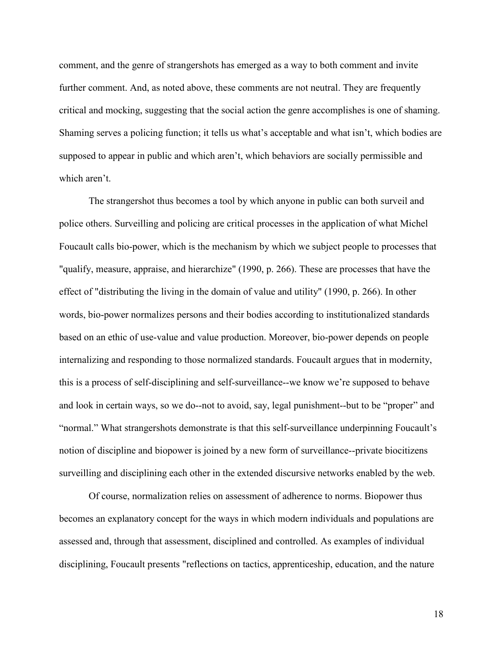comment, and the genre of strangershots has emerged as a way to both comment and invite further comment. And, as noted above, these comments are not neutral. They are frequently critical and mocking, suggesting that the social action the genre accomplishes is one of shaming. Shaming serves a policing function; it tells us what's acceptable and what isn't, which bodies are supposed to appear in public and which aren't, which behaviors are socially permissible and which aren't.

The strangershot thus becomes a tool by which anyone in public can both surveil and police others. Surveilling and policing are critical processes in the application of what Michel Foucault calls bio-power, which is the mechanism by which we subject people to processes that "qualify, measure, appraise, and hierarchize" (1990, p. 266). These are processes that have the effect of "distributing the living in the domain of value and utility" (1990, p. 266). In other words, bio-power normalizes persons and their bodies according to institutionalized standards based on an ethic of use-value and value production. Moreover, bio-power depends on people internalizing and responding to those normalized standards. Foucault argues that in modernity, this is a process of self-disciplining and self-surveillance--we know we're supposed to behave and look in certain ways, so we do--not to avoid, say, legal punishment--but to be "proper" and "normal." What strangershots demonstrate is that this self-surveillance underpinning Foucault's notion of discipline and biopower is joined by a new form of surveillance--private biocitizens surveilling and disciplining each other in the extended discursive networks enabled by the web.

Of course, normalization relies on assessment of adherence to norms. Biopower thus becomes an explanatory concept for the ways in which modern individuals and populations are assessed and, through that assessment, disciplined and controlled. As examples of individual disciplining, Foucault presents "reflections on tactics, apprenticeship, education, and the nature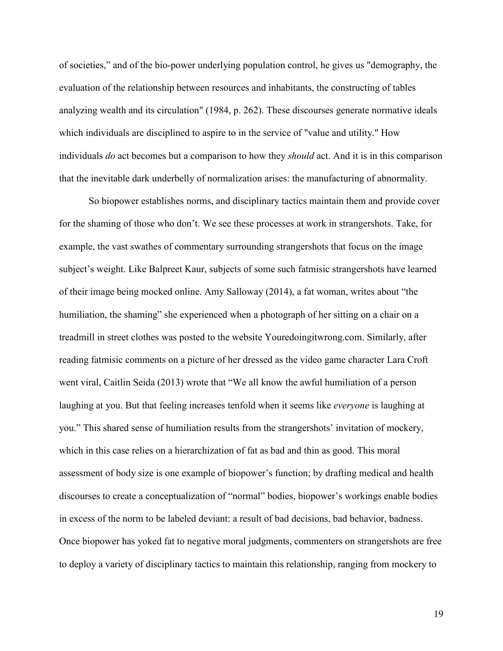of societies," and of the bio-power underlying population control, he gives us "demography, the evaluation of the relationship between resources and inhabitants, the constructing of tables analyzing wealth and its circulation" (1984, p. 262). These discourses generate normative ideals which individuals are disciplined to aspire to in the service of "value and utility." How individuals *do* act becomes but a comparison to how they *should* act. And it is in this comparison that the inevitable dark underbelly of normalization arises: the manufacturing of abnormality.

So biopower establishes norms, and disciplinary tactics maintain them and provide cover for the shaming of those who don't. We see these processes at work in strangershots. Take, for example, the vast swathes of commentary surrounding strangershots that focus on the image subject's weight. Like Balpreet Kaur, subjects of some such fatmisic strangershots have learned of their image being mocked online. Amy Salloway (2014), a fat woman, writes about "the humiliation, the shaming" she experienced when a photograph of her sitting on a chair on a treadmill in street clothes was posted to the website Youredoingitwrong.com. Similarly, after reading fatmisic comments on a picture of her dressed as the video game character Lara Croft went viral, Caitlin Seida (2013) wrote that "We all know the awful humiliation of a person laughing at you. But that feeling increases tenfold when it seems like *everyone* is laughing at you." This shared sense of humiliation results from the strangershots' invitation of mockery, which in this case relies on a hierarchization of fat as bad and thin as good. This moral assessment of body size is one example of biopower's function; by drafting medical and health discourses to create a conceptualization of "normal" bodies, biopower's workings enable bodies in excess of the norm to be labeled deviant: a result of bad decisions, bad behavior, badness. Once biopower has yoked fat to negative moral judgments, commenters on strangershots are free to deploy a variety of disciplinary tactics to maintain this relationship, ranging from mockery to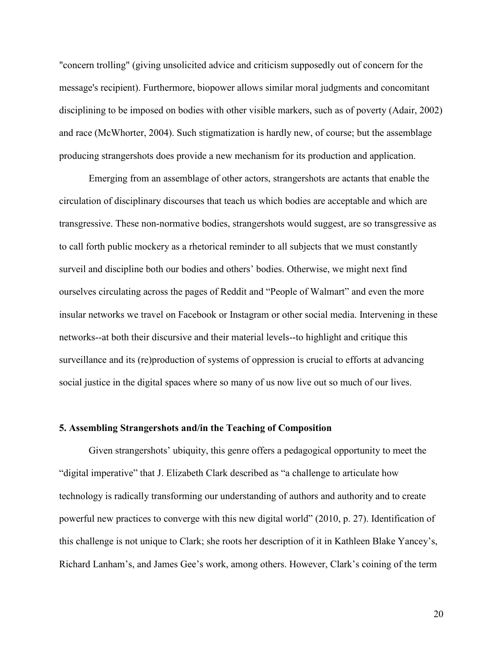"concern trolling" (giving unsolicited advice and criticism supposedly out of concern for the message's recipient). Furthermore, biopower allows similar moral judgments and concomitant disciplining to be imposed on bodies with other visible markers, such as of poverty (Adair, 2002) and race (McWhorter, 2004). Such stigmatization is hardly new, of course; but the assemblage producing strangershots does provide a new mechanism for its production and application.

Emerging from an assemblage of other actors, strangershots are actants that enable the circulation of disciplinary discourses that teach us which bodies are acceptable and which are transgressive. These non-normative bodies, strangershots would suggest, are so transgressive as to call forth public mockery as a rhetorical reminder to all subjects that we must constantly surveil and discipline both our bodies and others' bodies. Otherwise, we might next find ourselves circulating across the pages of Reddit and "People of Walmart" and even the more insular networks we travel on Facebook or Instagram or other social media. Intervening in these networks--at both their discursive and their material levels--to highlight and critique this surveillance and its (re)production of systems of oppression is crucial to efforts at advancing social justice in the digital spaces where so many of us now live out so much of our lives.

#### **5. Assembling Strangershots and/in the Teaching of Composition**

Given strangershots' ubiquity, this genre offers a pedagogical opportunity to meet the "digital imperative" that J. Elizabeth Clark described as "a challenge to articulate how technology is radically transforming our understanding of authors and authority and to create powerful new practices to converge with this new digital world" (2010, p. 27). Identification of this challenge is not unique to Clark; she roots her description of it in Kathleen Blake Yancey's, Richard Lanham's, and James Gee's work, among others. However, Clark's coining of the term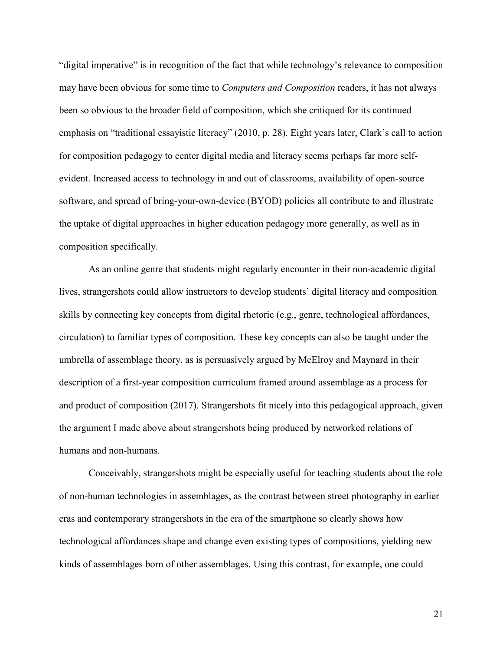"digital imperative" is in recognition of the fact that while technology's relevance to composition may have been obvious for some time to *Computers and Composition* readers, it has not always been so obvious to the broader field of composition, which she critiqued for its continued emphasis on "traditional essayistic literacy" (2010, p. 28). Eight years later, Clark's call to action for composition pedagogy to center digital media and literacy seems perhaps far more selfevident. Increased access to technology in and out of classrooms, availability of open-source software, and spread of bring-your-own-device (BYOD) policies all contribute to and illustrate the uptake of digital approaches in higher education pedagogy more generally, as well as in composition specifically.

As an online genre that students might regularly encounter in their non-academic digital lives, strangershots could allow instructors to develop students' digital literacy and composition skills by connecting key concepts from digital rhetoric (e.g., genre, technological affordances, circulation) to familiar types of composition. These key concepts can also be taught under the umbrella of assemblage theory, as is persuasively argued by McElroy and Maynard in their description of a first-year composition curriculum framed around assemblage as a process for and product of composition (2017). Strangershots fit nicely into this pedagogical approach, given the argument I made above about strangershots being produced by networked relations of humans and non-humans.

Conceivably, strangershots might be especially useful for teaching students about the role of non-human technologies in assemblages, as the contrast between street photography in earlier eras and contemporary strangershots in the era of the smartphone so clearly shows how technological affordances shape and change even existing types of compositions, yielding new kinds of assemblages born of other assemblages. Using this contrast, for example, one could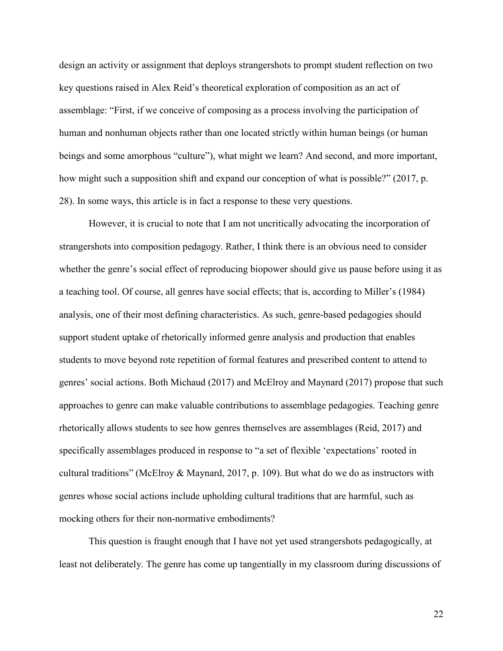design an activity or assignment that deploys strangershots to prompt student reflection on two key questions raised in Alex Reid's theoretical exploration of composition as an act of assemblage: "First, if we conceive of composing as a process involving the participation of human and nonhuman objects rather than one located strictly within human beings (or human beings and some amorphous "culture"), what might we learn? And second, and more important, how might such a supposition shift and expand our conception of what is possible?" (2017, p. 28). In some ways, this article is in fact a response to these very questions.

However, it is crucial to note that I am not uncritically advocating the incorporation of strangershots into composition pedagogy. Rather, I think there is an obvious need to consider whether the genre's social effect of reproducing biopower should give us pause before using it as a teaching tool. Of course, all genres have social effects; that is, according to Miller's (1984) analysis, one of their most defining characteristics. As such, genre-based pedagogies should support student uptake of rhetorically informed genre analysis and production that enables students to move beyond rote repetition of formal features and prescribed content to attend to genres' social actions. Both Michaud (2017) and McElroy and Maynard (2017) propose that such approaches to genre can make valuable contributions to assemblage pedagogies. Teaching genre rhetorically allows students to see how genres themselves are assemblages (Reid, 2017) and specifically assemblages produced in response to "a set of flexible 'expectations' rooted in cultural traditions" (McElroy & Maynard, 2017, p. 109). But what do we do as instructors with genres whose social actions include upholding cultural traditions that are harmful, such as mocking others for their non-normative embodiments?

This question is fraught enough that I have not yet used strangershots pedagogically, at least not deliberately. The genre has come up tangentially in my classroom during discussions of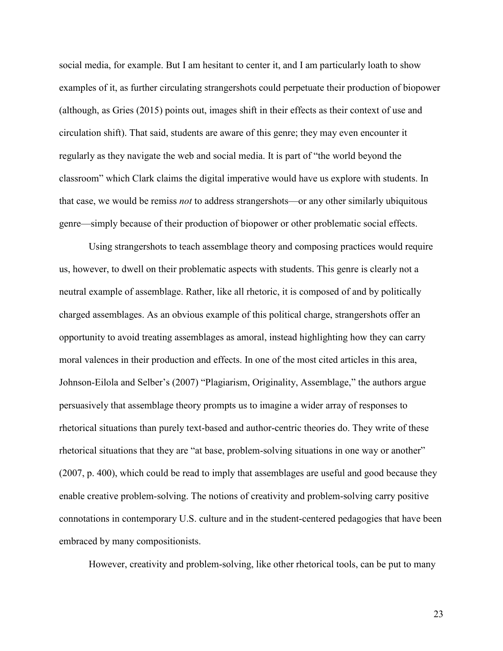social media, for example. But I am hesitant to center it, and I am particularly loath to show examples of it, as further circulating strangershots could perpetuate their production of biopower (although, as Gries (2015) points out, images shift in their effects as their context of use and circulation shift). That said, students are aware of this genre; they may even encounter it regularly as they navigate the web and social media. It is part of "the world beyond the classroom" which Clark claims the digital imperative would have us explore with students. In that case, we would be remiss *not* to address strangershots—or any other similarly ubiquitous genre—simply because of their production of biopower or other problematic social effects.

Using strangershots to teach assemblage theory and composing practices would require us, however, to dwell on their problematic aspects with students. This genre is clearly not a neutral example of assemblage. Rather, like all rhetoric, it is composed of and by politically charged assemblages. As an obvious example of this political charge, strangershots offer an opportunity to avoid treating assemblages as amoral, instead highlighting how they can carry moral valences in their production and effects. In one of the most cited articles in this area, Johnson-Eilola and Selber's (2007) "Plagiarism, Originality, Assemblage," the authors argue persuasively that assemblage theory prompts us to imagine a wider array of responses to rhetorical situations than purely text-based and author-centric theories do. They write of these rhetorical situations that they are "at base, problem-solving situations in one way or another" (2007, p. 400), which could be read to imply that assemblages are useful and good because they enable creative problem-solving. The notions of creativity and problem-solving carry positive connotations in contemporary U.S. culture and in the student-centered pedagogies that have been embraced by many compositionists.

However, creativity and problem-solving, like other rhetorical tools, can be put to many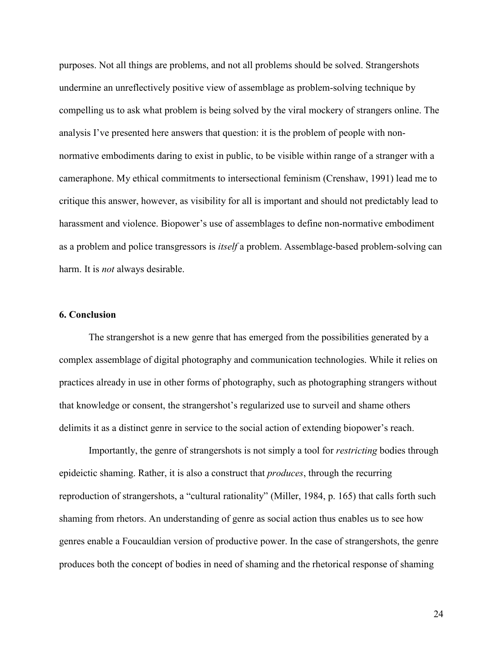purposes. Not all things are problems, and not all problems should be solved. Strangershots undermine an unreflectively positive view of assemblage as problem-solving technique by compelling us to ask what problem is being solved by the viral mockery of strangers online. The analysis I've presented here answers that question: it is the problem of people with nonnormative embodiments daring to exist in public, to be visible within range of a stranger with a cameraphone. My ethical commitments to intersectional feminism (Crenshaw, 1991) lead me to critique this answer, however, as visibility for all is important and should not predictably lead to harassment and violence. Biopower's use of assemblages to define non-normative embodiment as a problem and police transgressors is *itself* a problem. Assemblage-based problem-solving can harm. It is *not* always desirable.

#### **6. Conclusion**

The strangershot is a new genre that has emerged from the possibilities generated by a complex assemblage of digital photography and communication technologies. While it relies on practices already in use in other forms of photography, such as photographing strangers without that knowledge or consent, the strangershot's regularized use to surveil and shame others delimits it as a distinct genre in service to the social action of extending biopower's reach.

Importantly, the genre of strangershots is not simply a tool for *restricting* bodies through epideictic shaming. Rather, it is also a construct that *produces*, through the recurring reproduction of strangershots, a "cultural rationality" (Miller, 1984, p. 165) that calls forth such shaming from rhetors. An understanding of genre as social action thus enables us to see how genres enable a Foucauldian version of productive power. In the case of strangershots, the genre produces both the concept of bodies in need of shaming and the rhetorical response of shaming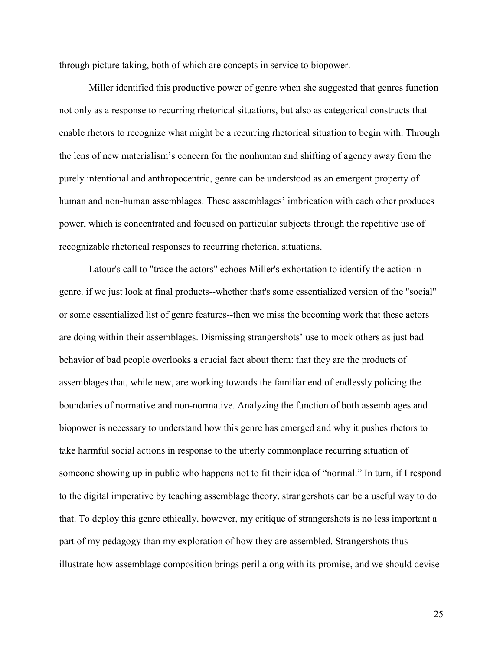through picture taking, both of which are concepts in service to biopower.

Miller identified this productive power of genre when she suggested that genres function not only as a response to recurring rhetorical situations, but also as categorical constructs that enable rhetors to recognize what might be a recurring rhetorical situation to begin with. Through the lens of new materialism's concern for the nonhuman and shifting of agency away from the purely intentional and anthropocentric, genre can be understood as an emergent property of human and non-human assemblages. These assemblages' imbrication with each other produces power, which is concentrated and focused on particular subjects through the repetitive use of recognizable rhetorical responses to recurring rhetorical situations.

Latour's call to "trace the actors" echoes Miller's exhortation to identify the action in genre. if we just look at final products--whether that's some essentialized version of the "social" or some essentialized list of genre features--then we miss the becoming work that these actors are doing within their assemblages. Dismissing strangershots' use to mock others as just bad behavior of bad people overlooks a crucial fact about them: that they are the products of assemblages that, while new, are working towards the familiar end of endlessly policing the boundaries of normative and non-normative. Analyzing the function of both assemblages and biopower is necessary to understand how this genre has emerged and why it pushes rhetors to take harmful social actions in response to the utterly commonplace recurring situation of someone showing up in public who happens not to fit their idea of "normal." In turn, if I respond to the digital imperative by teaching assemblage theory, strangershots can be a useful way to do that. To deploy this genre ethically, however, my critique of strangershots is no less important a part of my pedagogy than my exploration of how they are assembled. Strangershots thus illustrate how assemblage composition brings peril along with its promise, and we should devise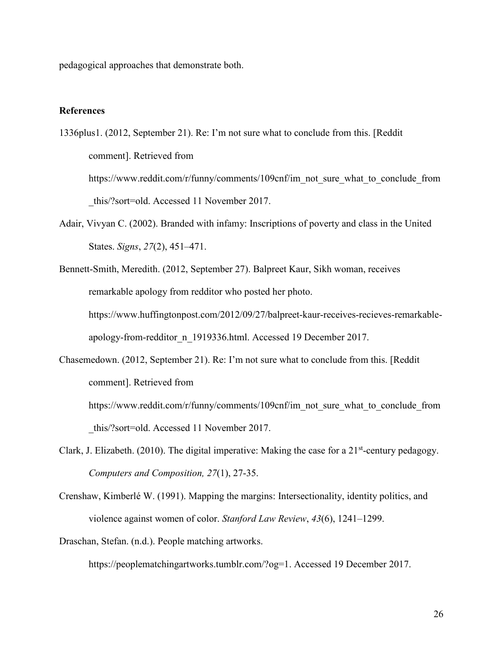pedagogical approaches that demonstrate both.

#### **References**

1336plus1. (2012, September 21). Re: I'm not sure what to conclude from this. [Reddit comment]. Retrieved from https://www.reddit.com/r/funny/comments/109cnf/im\_not\_sure\_what\_to\_conclude\_from \_this/?sort=old. Accessed 11 November 2017.

Adair, Vivyan C. (2002). Branded with infamy: Inscriptions of poverty and class in the United States. *Signs*, *27*(2), 451–471.

Bennett-Smith, Meredith. (2012, September 27). Balpreet Kaur, Sikh woman, receives remarkable apology from redditor who posted her photo. https://www.huffingtonpost.com/2012/09/27/balpreet-kaur-receives-recieves-remarkableapology-from-redditor\_n\_1919336.html. Accessed 19 December 2017.

Chasemedown. (2012, September 21). Re: I'm not sure what to conclude from this. [Reddit comment]. Retrieved from

https://www.reddit.com/r/funny/comments/109cnf/im\_not\_sure\_what\_to\_conclude\_from \_this/?sort=old. Accessed 11 November 2017.

- Clark, J. Elizabeth. (2010). The digital imperative: Making the case for a  $21<sup>st</sup>$ -century pedagogy. *Computers and Composition, 27*(1), 27-35.
- Crenshaw, Kimberlé W. (1991). Mapping the margins: Intersectionality, identity politics, and violence against women of color. *Stanford Law Review*, *43*(6), 1241–1299.

Draschan, Stefan. (n.d.). People matching artworks.

https://peoplematchingartworks.tumblr.com/?og=1. Accessed 19 December 2017.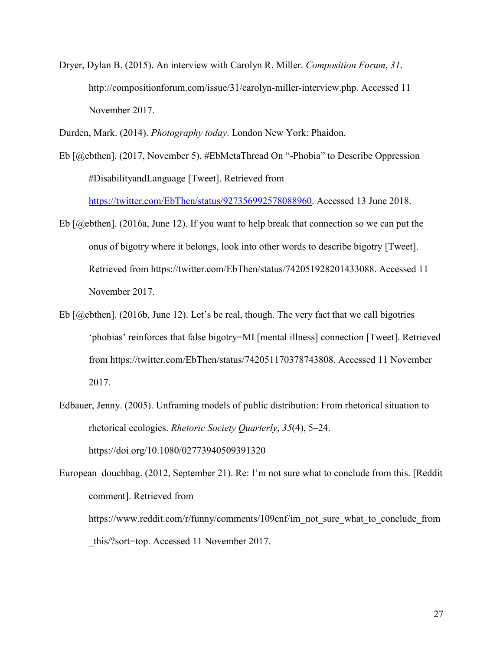- Dryer, Dylan B. (2015). An interview with Carolyn R. Miller. *Composition Forum*, *31*. http://compositionforum.com/issue/31/carolyn-miller-interview.php. Accessed 11 November 2017.
- Durden, Mark. (2014). *Photography today*. London New York: Phaidon.
- Eb [@ebthen]. (2017, November 5). #EbMetaThread On "-Phobia" to Describe Oppression #DisabilityandLanguage [Tweet]. Retrieved from [https://twitter.com/EbThen/status/927356992578088960.](https://twitter.com/EbThen/status/927356992578088960) Accessed 13 June 2018.
- Eb [@ebthen]. (2016a, June 12). If you want to help break that connection so we can put the onus of bigotry where it belongs, look into other words to describe bigotry [Tweet]. Retrieved from https://twitter.com/EbThen/status/742051928201433088. Accessed 11 November 2017.
- Eb [@ebthen]. (2016b, June 12). Let's be real, though. The very fact that we call bigotries 'phobias' reinforces that false bigotry=MI [mental illness] connection [Tweet]. Retrieved from https://twitter.com/EbThen/status/742051170378743808. Accessed 11 November 2017.
- Edbauer, Jenny. (2005). Unframing models of public distribution: From rhetorical situation to rhetorical ecologies. *Rhetoric Society Quarterly*, *35*(4), 5–24. https://doi.org/10.1080/02773940509391320

European douchbag. (2012, September 21). Re: I'm not sure what to conclude from this. [Reddit] comment]. Retrieved from https://www.reddit.com/r/funny/comments/109cnf/im\_not\_sure\_what\_to\_conclude\_from \_this/?sort=top. Accessed 11 November 2017.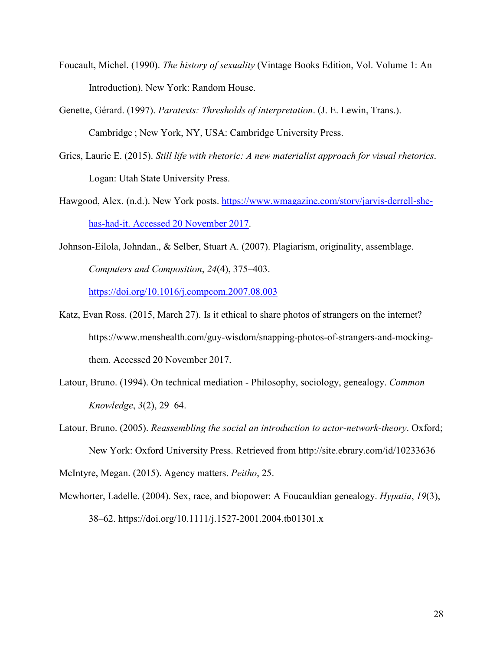- Foucault, Michel. (1990). *The history of sexuality* (Vintage Books Edition, Vol. Volume 1: An Introduction). New York: Random House.
- Genette, Gérard. (1997). *Paratexts: Thresholds of interpretation*. (J. E. Lewin, Trans.).

Cambridge ; New York, NY, USA: Cambridge University Press.

- Gries, Laurie E. (2015). *Still life with rhetoric: A new materialist approach for visual rhetorics*. Logan: Utah State University Press.
- Hawgood, Alex. (n.d.). New York posts. [https://www.wmagazine.com/story/jarvis-derrell-she](https://www.wmagazine.com/story/jarvis-derrell-she-has-had-it.%20Accessed%2020%20November%202017)[has-had-it. Accessed 20 November 2017.](https://www.wmagazine.com/story/jarvis-derrell-she-has-had-it.%20Accessed%2020%20November%202017)
- Johnson-Eilola, Johndan., & Selber, Stuart A. (2007). Plagiarism, originality, assemblage. *Computers and Composition*, *24*(4), 375–403.

<https://doi.org/10.1016/j.compcom.2007.08.003>

- Katz, Evan Ross. (2015, March 27). Is it ethical to share photos of strangers on the internet? https://www.menshealth.com/guy-wisdom/snapping-photos-of-strangers-and-mockingthem. Accessed 20 November 2017.
- Latour, Bruno. (1994). On technical mediation Philosophy, sociology, genealogy. *Common Knowledge*, *3*(2), 29–64.
- Latour, Bruno. (2005). *Reassembling the social an introduction to actor-network-theory*. Oxford; New York: Oxford University Press. Retrieved from http://site.ebrary.com/id/10233636

McIntyre, Megan. (2015). Agency matters. *Peitho*, 25.

Mcwhorter, Ladelle. (2004). Sex, race, and biopower: A Foucauldian genealogy. *Hypatia*, *19*(3), 38–62. https://doi.org/10.1111/j.1527-2001.2004.tb01301.x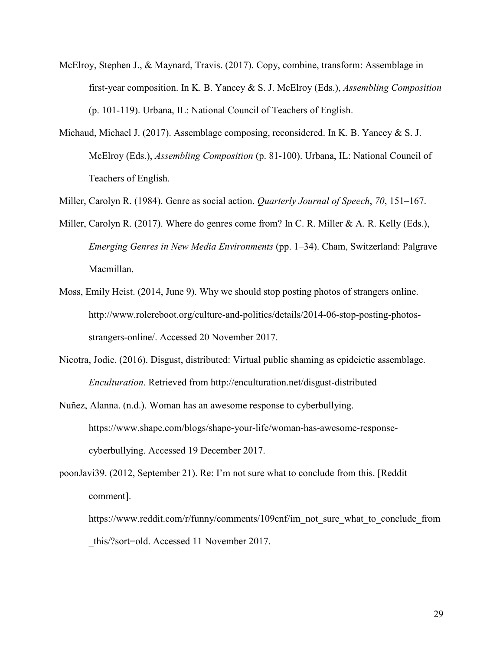- McElroy, Stephen J., & Maynard, Travis. (2017). Copy, combine, transform: Assemblage in first-year composition. In K. B. Yancey & S. J. McElroy (Eds.), *Assembling Composition* (p. 101-119). Urbana, IL: National Council of Teachers of English.
- Michaud, Michael J. (2017). Assemblage composing, reconsidered. In K. B. Yancey & S. J. McElroy (Eds.), *Assembling Composition* (p. 81-100). Urbana, IL: National Council of Teachers of English.

Miller, Carolyn R. (1984). Genre as social action. *Quarterly Journal of Speech*, *70*, 151–167.

- Miller, Carolyn R. (2017). Where do genres come from? In C. R. Miller & A. R. Kelly (Eds.), *Emerging Genres in New Media Environments* (pp. 1–34). Cham, Switzerland: Palgrave Macmillan.
- Moss, Emily Heist. (2014, June 9). Why we should stop posting photos of strangers online. http://www.rolereboot.org/culture-and-politics/details/2014-06-stop-posting-photosstrangers-online/. Accessed 20 November 2017.
- Nicotra, Jodie. (2016). Disgust, distributed: Virtual public shaming as epideictic assemblage. *Enculturation*. Retrieved from http://enculturation.net/disgust-distributed
- Nuñez, Alanna. (n.d.). Woman has an awesome response to cyberbullying. https://www.shape.com/blogs/shape-your-life/woman-has-awesome-responsecyberbullying. Accessed 19 December 2017.
- poonJavi39. (2012, September 21). Re: I'm not sure what to conclude from this. [Reddit comment].
	- https://www.reddit.com/r/funny/comments/109cnf/im\_not\_sure\_what\_to\_conclude\_from \_this/?sort=old. Accessed 11 November 2017.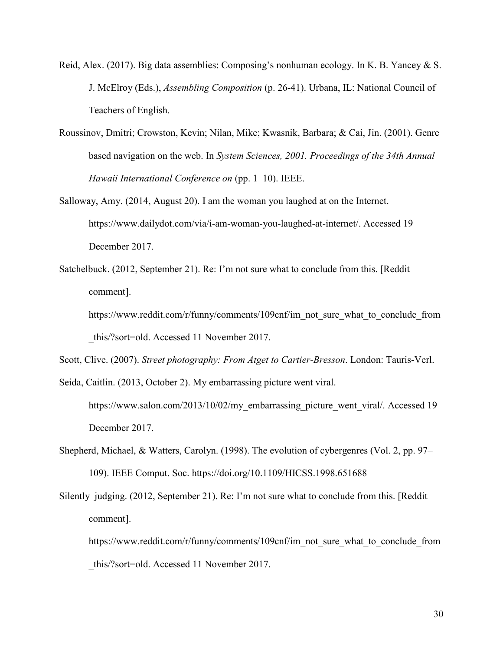- Reid, Alex. (2017). Big data assemblies: Composing's nonhuman ecology. In K. B. Yancey & S. J. McElroy (Eds.), *Assembling Composition* (p. 26-41). Urbana, IL: National Council of Teachers of English.
- Roussinov, Dmitri; Crowston, Kevin; Nilan, Mike; Kwasnik, Barbara; & Cai, Jin. (2001). Genre based navigation on the web. In *System Sciences, 2001. Proceedings of the 34th Annual Hawaii International Conference on* (pp. 1–10). IEEE.
- Salloway, Amy. (2014, August 20). I am the woman you laughed at on the Internet. https://www.dailydot.com/via/i-am-woman-you-laughed-at-internet/. Accessed 19 December 2017.
- Satchelbuck. (2012, September 21). Re: I'm not sure what to conclude from this. [Reddit comment].
	- https://www.reddit.com/r/funny/comments/109cnf/im\_not\_sure\_what\_to\_conclude\_from \_this/?sort=old. Accessed 11 November 2017.
- Scott, Clive. (2007). *Street photography: From Atget to Cartier-Bresson*. London: Tauris-Verl.
- Seida, Caitlin. (2013, October 2). My embarrassing picture went viral.
	- https://www.salon.com/2013/10/02/my\_embarrassing\_picture\_went\_viral/. Accessed 19 December 2017.
- Shepherd, Michael, & Watters, Carolyn. (1998). The evolution of cybergenres (Vol. 2, pp. 97– 109). IEEE Comput. Soc. https://doi.org/10.1109/HICSS.1998.651688
- Silently judging. (2012, September 21). Re: I'm not sure what to conclude from this. [Reddit comment].
	- https://www.reddit.com/r/funny/comments/109cnf/im\_not\_sure\_what\_to\_conclude\_from \_this/?sort=old. Accessed 11 November 2017.